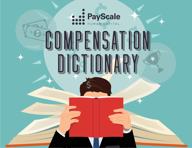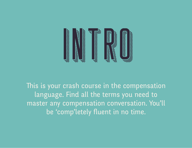

This is your crash course in the compensation language. Find all the terms you need to master any compensation conversation. You'll be 'comp'letely fuent in no time.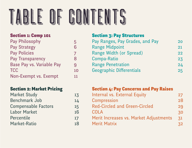

#### Section 1: Comp 101

| Pay Philosophy            | 5  |
|---------------------------|----|
| <b>Pay Strategy</b>       | 6  |
| <b>Pay Policies</b>       | 7  |
| Pay Transparency          | 8  |
| Base Pay vs. Variable Pay | 9  |
| <b>TCC</b>                | 10 |
| Non-Exempt vs. Exempt     | 11 |
|                           |    |

#### Section 2: Market Pricing

| <b>Market Study</b>        | 13 |
|----------------------------|----|
| <b>Benchmark Job</b>       | 14 |
| <b>Compensable Factors</b> | 15 |
| <b>Labor Market</b>        | 16 |
| Percentile                 | 17 |
| Market-Ratio               | 18 |

#### Section 3: Pay Structures

| Pay Ranges, Pay Grades, and Pay | 20 |
|---------------------------------|----|
| <b>Range Midpoint</b>           | 21 |
| Range Width (or Spread)         | 22 |
| <b>Compa-Ratio</b>              | 23 |
| <b>Range Penetration</b>        | 24 |
| Geographic Differentials        | 25 |
|                                 |    |

#### Section 4: Pay Concerns and Pay Raises

| Internal vs. External Equity           | 27 |
|----------------------------------------|----|
| Compression                            | 28 |
| <b>Red-Circled and Green-Circled</b>   | 29 |
| <b>COLA</b>                            | 30 |
| Merit Increases vs. Market Adjustments | 31 |
| <b>Merit Matrix</b>                    |    |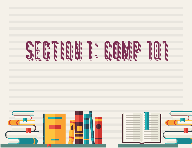

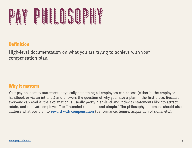<span id="page-4-0"></span>

High-level documentation on what you are trying to achieve with your compensation plan.

#### Why it maters

Your pay philosophy statement is typically something all employees can access (either in the employee handbook or via an intranet) and answers the question of why you have a plan in the first place. Because everyone can read it, the explanation is usually pretty high-level and includes statements like "to attract, retain, and motivate employees" or "intended to be fair and simple." The philosophy statement should also address what you plan to [reward with compensation](http://www.payscale.com/compensation-today/2013/07/5-ways-to-improve-your-compensation-strategy) (performance, tenure, acquisition of skills, etc.).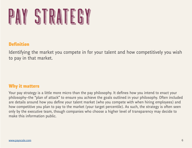<span id="page-5-0"></span>

Identifying the market you compete in for your talent and how competitively you wish to pay in that market.

#### Why it maters

Your pay strategy is a litle more micro than the pay philosophy. It defnes how you intend to enact your philosophy–the "plan of attack" to ensure you achieve the goals outlined in your philosophy. Often included are details around how you defne your talent market (who you compete with when hiring employees) and how competitive you plan to pay to the market (your target percentile). As such, the strategy is often seen only by the executive team, though companies who choose a higher level of transparency may decide to make this information public.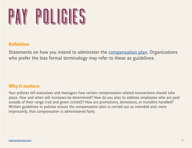<span id="page-6-0"></span>

Statements on how you intend to administer the [compensation plan](http://www.payscale.com/compensation-today/2012/10/compensation-strategies-that-work). Organizations who prefer the less formal terminology may refer to these as guidelines.

#### Why it maters

Your policies tell executives and managers how certain compensation-related transactions should take place. How and when will increases be determined? How do you plan to address employees who are paid outside of their range (red and green circled)? How are promotions, demotions, or transfers handled? Writen guidelines or policies ensure the compensation plan is carried out as intended and, more importantly, that compensation is administered fairly.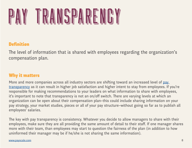<span id="page-7-0"></span>

The level of information that is shared with employees regarding the organization's compensation plan.

#### Why it maters

More and more companies across all industry sectors are shifting toward an increased level of pay [transparency](http://www.payscale.com/compensation-today/2013/06/creating-pay-transparency-in-the-workplace) as it can result in higher job satisfaction and higher intent to stay from employees. If you're responsible for making recommendations to your leaders on what information to share with employees, it's important to note that transparency is not an on/off switch. There are varying levels at which an organization can be open about their compensation plan–this could include sharing information on your pay strategy, your market studies, pieces or all of your pay structure–without going so far as to publish all employees' salaries.

The key with pay transparency is consistency. Whatever you decide to allow managers to share with their employees, make sure they are all providing the same amount of detail to their staff. If one manager shares more with their team, than employees may start to question the fairness of the plan (in addition to how uninformed their manager may be if he/she is not sharing the same information).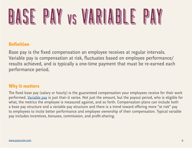<span id="page-8-0"></span>

Base pay is the fxed compensation an employee receives at regular intervals. Variable pay is compensation at risk, fuctuates based on employee performance/ results achieved, and is typically a one-time payment that must be re-earned each performance period.

#### Why it maters

The fixed base pay (salary or hourly) is the guaranteed compensation your employees receive for their work performed. [Variable pay](http://www.payscale.com/compensation-today/2009/08/variable-pay-compensation-strategy) is just that–it varies. Not just the amount, but the payout period, who is eligible for what, the metrics the employee is measured against, and so forth. Compensation plans can include both a base pay structure and a variable pay structure and there is a trend toward ofering more "at risk" pay to employees to incite better performance and employee ownership of their compensation. Typical variable pay includes incentives, bonuses, commission, and proft-sharing.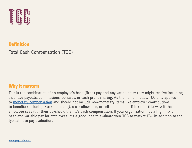<span id="page-9-0"></span>

Total Cash Compensation (TCC)

#### Why it maters

This is the combination of an employee's base (fixed) pay and any variable pay they might receive including incentive payouts, commissions, bonuses, or cash proft sharing. As the name implies, TCC only applies to [monetary compensation](http://www.payscale.com/compensation-today/2013/11/communicating-total-compensation-to-employees-in-a-meaningful-way) and should not include non-monetary items like employer contributions to benefits (including 401k matching), a car allowance, or cell-phone plan. Think of it this way: if the employee sees it in their paycheck, then it's cash compensation. If your organization has a high mix of base and variable pay for employees, it's a good idea to evaluate your TCC to market TCC in addition to the typical base pay evaluation.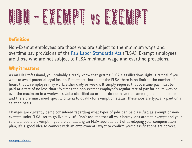<span id="page-10-0"></span>

Non-Exempt employees are those who are subject to the minimum wage and overtime pay provisions of the **[Fair Labor Standards Act](http://www.dol.gov/whd/flsa/) (FLSA)**. Exempt employees are those who are not subject to FLSA minimum wage and overtime provisions.

#### Why it maters

As an HR Professional, you probably already know that geting FLSA classifcations right is critical if you want to avoid potential legal issues. Remember that under the FLSA there is no limit to the number of hours that an employee may work, either daily or weekly. It simply requires that overtime pay must be paid at a rate of no less than 1½ times the non-exempt employee's regular rate of pay for hours worked over the maximum in a workweek. Jobs classifed as exempt do not have the same regulations in place and therefore must meet specific criteria to qualify for exemption status. These jobs are typically paid on a salaried basis.

Changes are currently being considered regarding what types of jobs can be classifed as exempt or nonexempt under FLSA–set to go live in 2016. Don't assume that all your hourly jobs are non-exempt and your salaried jobs are exempt. If you are conducting an FLSA audit as part of developing your compensation plan, it's a good idea to connect with an employment lawyer to confrm your classifcations are correct.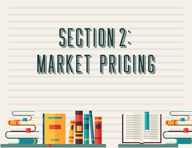





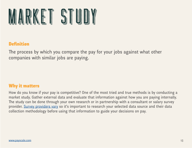<span id="page-12-0"></span>

The process by which you compare the pay for your jobs against what other companies with similar jobs are paying.

#### Why it maters

How do you know if your pay is competitive? One of the most tried and true methods is by conducting a market study. Gather external data and evaluate that information against how you are paying internally. The study can be done through your own research or in partnership with a consultant or salary survey provider. [Survey providers vary](http://www.payscale.com/compensation-today/2015/07/building-salary-ranges-for-beginners-part-1) so it's important to research your selected data source and their data collection methodology before using that information to guide your decisions on pay.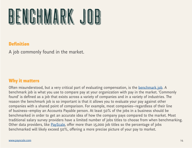<span id="page-13-0"></span>

A job commonly found in the market.

#### Why it maters

Often misunderstood, but a very critical part of evaluating compensation, is the [benchmark job](http://resources.payscale.com/hr-thanks-webinar-recording-job-matching.html?mkt_tok=3RkMMJWWfF9wsRonu6rIeu%252FhmjTEU5z17%252BokWKaygph41El3fuXBP2XqjvpVQcVnNrjYDBceEJhqyQJxPr3BLdcN1Nl2RhHqCA%25%25E2%2580%258B3D%25%25E2%2580%258B3D). A benchmark job is what you use to compare pay at your organization with pay in the market. 'Commonly found' is defined as a job that exists across a variety of companies and in a variety of industries. The reason the benchmark job is so important is that it allows you to evaluate your pay against other companies with a shared point of comparison. For example, most companies—regardless of their line of business—employ an Accounts Payable person. At least 50% of the jobs in a business should be benchmarked in order to get an accurate idea of how the company pays compared to the market. Most traditional salary survey providers have a limited number of jobs titles to choose from when benchmarking. Other data providers, like [PayScale](http://www.payscale.com/hr/product-benchmark), offer more than 15,000 job titles so the percentage of jobs benchmarked will likely exceed 50%, ofering a more precise picture of your pay to market.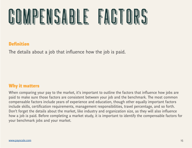<span id="page-14-0"></span>

The details about a job that influence how the job is paid.

#### Why it maters

When comparing your pay to the market, it's important to outline the factors that infuence how jobs are paid to make sure those factors are consistent between your job and the benchmark. The most common compensable factors include years of experience and education, though other equally important factors include skills, certifcation requirements, management responsibilities, travel percentage, and so forth. Don't forget the details about the market, like industry and organization size, as they will also infuence how a job is paid. Before completing a market study, it is important to identify the compensable factors for your benchmark jobs and your market.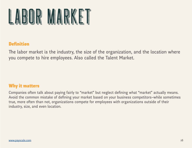<span id="page-15-0"></span>

The labor market is the industry, the size of the organization, and the location where you compete to hire employees. Also called the Talent Market.

#### Why it maters

Companies often talk about paying fairly to "market" but neglect defining what "market" actually means. Avoid the common mistake of defning your market based on your business competitors–while sometimes true, more often than not, organizations compete for employees with organizations outside of their industry, size, and even location.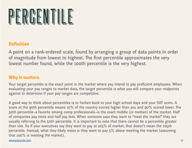<span id="page-16-0"></span>

A point on a rank-ordered scale, found by arranging a group of data points in order of magnitude from lowest to highest. The first percentile approximates the very lowest number found, while the 100th percentile is the very highest.

#### Why it maters

Your target percentile is the exact point in the market where you intend to pay proficient employees. When evaluating your pay ranges to market data, the target percentile is what you will compare your midpoints against to determine if your pay ranges are competitive.

A good way to think about percentiles is to harken back to your high school days and your SAT score. A score at the 90th percentile means 10% of the country scored higher than you and 90% scored lower. The 50th percentile–a favorite among comp professionals–is the exact middle (or median) of the market. Half of companies pay more and half pay less. When someone says they want to "meet the market" they are usually referring to the 50th percentile. It is important to note that there cannot be a percentile greater than 100. So if your executives say they want to pay at 105% of market, that doesn't mean the 105th percentile. Instead, what they likely mean is they want to pay 5% above meeting the market (assuming that 100% is meeting the market).

[www.payscale.com](http://www.payscale.com/hr) and the community of the community of the community of the community of the community of the community of the community of the community of the community of the community of the community of the community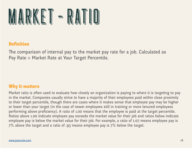<span id="page-17-0"></span>

The comparison of internal pay to the market pay rate for a job. Calculated as Pay Rate ÷ Market Rate at Your Target Percentile.

#### Why it maters

Market ratio is often used to evaluate how closely an organization is paying to where it is targeting to pay in the market. Companies usually strive to have a majority of their employees paid within close proximity to their target percentile, though there are cases where it makes sense that employee pay may be higher or lower than your target (in the case of newer employees still in training or more tenured employees performing above proficiency). A ratio of 1.00 means that the employee is paid at the target percentile. Ratios above 1.00 indicate employee pay exceeds the market value for their job and ratios below indicate employee pay is below the market value for their job. For example, a ratio of 1.07 means employee pay is 7% above the target and a ratio of .93 means employee pay is 7% below the target.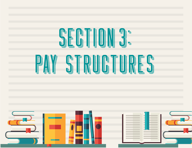





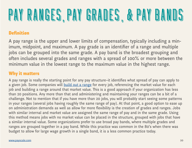## <span id="page-19-0"></span>**De de de de la de la de la de la de la de la de la de la de la de la de la de la de la de la de la de la de la**

#### **Definition**

A pay range is the upper and lower limits of compensation, typically including a minimum, midpoint, and maximum. A pay grade is an identifier of a range and multiple jobs can be grouped into the same grade. A pay band is the broadest grouping and often includes several grades and ranges with a spread of 100% or more between the minimum value in the lowest range to the maximum value in the highest range.

#### Why it maters

A pay range is really the starting point for any pay structure–it identifes what spread of pay can apply to a given job. Some companies will [build out a range](http://www.payscale.com/compensation-today/2015/07/building-salary-ranges-for-beginners-part-1) for every job, referencing the market value for each job and building a range around that market value. This is a good approach if your organization has less than 20 positions. Any more than that and administering and maintaining your ranges can be a bit of a challenge. Not to mention that if you have more than 20 jobs, you will probably start seeing some paterns in your ranges (several jobs having roughly the same range of pay). At that point, a good option to ease up on administration demands as well as allow for more fexibility is the creation of grades and ranges. Jobs with similar internal and market value are assigned the same range of pay and in the same grade. Using this method means jobs with no market value can be placed in the structure, grouped with jobs that have a similar internal value. Some organizations prefer to use broad pay bands, where multiple grades and ranges are grouped together in a pay band. While this practice was common in the 80's when there was budget to allow for large wage growth in a single band, it is a less common practice today.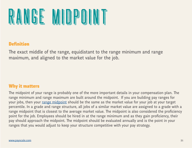<span id="page-20-0"></span>

The exact middle of the range, equidistant to the range minimum and range maximum, and aligned to the market value for the job.

#### Why it maters

The midpoint of your range is probably one of the more important details in your compensation plan. The range minimum and range maximum are built around the midpoint. If you are building pay ranges for your jobs, then your [range midpoint](http://resources.payscale.com/rs/payscale/images/2013-How-to-Build-Pay-Grades-and-Salary-Ranges.pdf) should be the same as the market value for your job at your target percentile. In a grade and range structure, all jobs of a similar market value are assigned to a grade with a range midpoint that is closest to the average market value. The midpoint is also considered the proficiency point for the job. Employees should be hired in at the range minimum and as they gain proficiency, their pay should approach the midpoint. The midpoint should be evaluated annually and is the point in your ranges that you would adjust to keep your structure competitive with your pay strategy.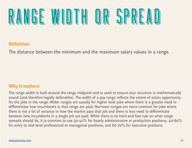<span id="page-21-0"></span>

The distance between the minimum and the maximum salary values in a range.

#### Why it maters

The range width is built around the range midpoint and is used to ensure your structure is mathematically sound (and therefore legally defensible). The width of a pay range reflects the extent of salary opportunity for the jobs in the range. Wider ranges are usually for higher level jobs where there is a greater need to diferentiate how incumbents in that range are paid. Narrower ranges are more common for jobs where there is not a lot of variance in how the market pays that job and there is less need to diferentiate between how incumbents in a single job are paid. While there is no hard and fast rule on what range spreads should be, it is common to use 30-40% for hourly administrative or production positions, 40-60% for entry to mid-level professional or managerial positions, and 60-70% for executive positions.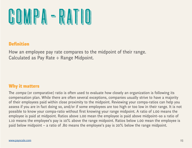<span id="page-22-0"></span>

How an employee pay rate compares to the midpoint of their range. Calculated as Pay Rate ÷ Range Midpoint.

#### Why it maters

The *compa* (or comparative) ratio is often used to evaluate how closely an organization is following its compensation plan. While there are often several exceptions, companies usually strive to have a majority of their employees paid within close proximity to the midpoint. Reviewing your compa-ratios can help you assess if you are in fact doing so, and/or if some employees are too high or too low in their range. It is not possible to know your compa-ratio without frst knowing your range midpoint. A ratio of 1.00 means the employee is paid at midpoint. Ratios above 1.00 mean the employee is paid above midpoint–so a ratio of 1.10 means the employee's pay is 10% above the range midpoint. Ratios below 1.00 mean the employee is paid below midpoint – a ratio of .80 means the employee's pay is 20% below the range midpoint.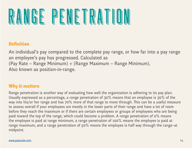<span id="page-23-0"></span>

An individual's pay compared to the complete pay range, or how far into a pay range an employee's pay has progressed. Calculated as (Pay Rate – Range Minimum) ÷ (Range Maximum – Range Minimum). Also known as position-in-range.

#### Why it maters

Range penetration is another way of evaluating how well the organization is adhering to its pay plan. Usually expressed as a percentage, a range penetration of 30% means that an employee is 30% of the way into his/or her range and has 70% more of that range to move through. This can be a useful measure to assess overall if your employees are mostly in the lower parts of their range and have a lot of room before they reach the maximum or if there are certain employees or groups of employees who are being paid toward the top of the range, which could become a problem. A range penetration of 0% means the employee is paid at range minimum, a range penetration of 100% means the employee is paid at range maximum, and a range penetration of 50% means the employee is half way through the range–at midpoint.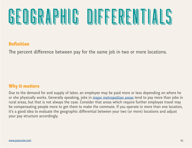### <span id="page-24-0"></span>

#### **Definition**

The percent difference between pay for the same job in two or more locations.

#### Why it maters

Due to the demand for and supply of labor, an employee may be paid more or less depending on where he or she physically works. Generally speaking, jobs in [major metropolitan areas](http://www.payscale.com/compensation-today/2013/05/market-differential-analytics-helps-payscale-customers-compete-in-multiple-markets) tend to pay more than jobs in rural areas, but that is not always the case. Consider that areas which require further employee travel may be compensating people more to get them to make the commute. If you operate in more than one location, it's a good idea to evaluate the geographic diferential between your two (or more) locations and adjust your pay structure accordingly.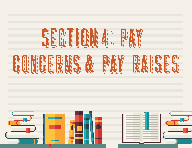



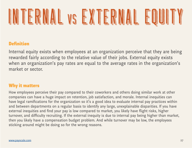# <span id="page-26-0"></span>NIS IN THE REAL PROPERTY OF THE REAL PROPERTY OF THE REAL PROPERTY OF THE REAL PROPERTY OF THE REAL PROPERTY OF

#### **Definition**

Internal equity exists when employees at an organization perceive that they are being rewarded fairly according to the relative value of their jobs. External equity exists when an organization's pay rates are equal to the average rates in the organization's market or sector.

#### Why it maters

How employees perceive their pay compared to their coworkers and others doing similar work at other companies can have a huge impact on retention, job satisfaction, and morale. Internal inequities can have legal ramifcations for the organization so it's a good idea to evaluate internal pay practices within and between departments on a regular basis to identify any large, unexplainable disparities. If you have external inequities and find your pay is low compared to market, you likely have flight risks, higher turnover, and difficulty recruiting. If the external inequity is due to internal pay being higher than market, then you likely have a compensation budget problem. And while turnover may be low, the employees sticking around might be doing so for the wrong reasons.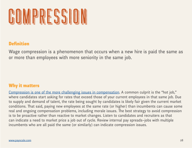<span id="page-27-0"></span>

Wage compression is a phenomenon that occurs when a new hire is paid the same as or more than employees with more seniority in the same job.

#### Why it maters

[Compression is one of the more challenging issues in compensation.](http://www.payscale.com/compensation-today/2011/07/pay-compression) A common culprit is the "hot job," where candidates start asking for rates that exceed those of your current employees in that same job. Due to supply and demand of talent, the rate being sought by candidates is likely fair given the current market conditions. That said, paying new employees at the same rate (or higher) than incumbents can cause some real and ongoing compensation problems, including morale issues. The best strategy to avoid compression is to be proactive rather than reactive to market changes. Listen to candidates and recruiters as that can indicate a need to market price a job out of cycle. Review internal pay spreads–jobs with multiple incumbents who are all paid the same (or similarly) can indicate compression issues.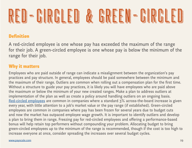## <span id="page-28-0"></span>**De de de la de la de la de la de la de la de la de la de la de la de la de la de la de la de la de la de la de**<br>De la de la de la de la de la de la de la de la de la de la de la de la de la de la de la de la de la de la d

#### **Definition**

A red-circled employee is one whose pay has exceeded the maximum of the range for their job. A green-circled employee is one whose pay is below the minimum of the range for their job.

#### Why it maters

Employees who are paid outside of range can indicate a misalignment between the organization's pay practices and pay structure. In general, employees should be paid somewhere between the minimum and the maximum of their range. Outliers are common when rolling out a compensation plan for the frst time. Without a structure to guide your pay practices, it is likely you will have employees who are paid above the maximum or below the minimum of your new created ranges. Make a plan to address outliers at implementation of the plan as well as create a policy around handling outliers on an ongoing basis. [Red-circled employees](http://www.payscale.com/compensation-today/2016/01/youre-overpaying-now-what) are common in companies where a standard 3% across-the-board increase is given every year, with little attention to a job's market value or the pay range (if established). Green-circled employees are common in companies where pay has been frozen for several years due to budget cuts and now the market has outpaced employee wage growth. It is important to identify outliers and develop a plan to bring them in range. Freezing pay for red-circled employees and ofering a performance-based bonus will help retain top performers without compounding your problem. Allocating budget to bring green-circled employees up to the minimum of the range is recommended, though if the cost is too high to increase everyone at once, consider spreading the increases over several budget cycles.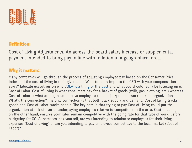<span id="page-29-0"></span>

Cost of Living Adjustments. An across-the-board salary increase or supplemental payment intended to bring pay in line with infation in a geographical area.

#### Why it maters

Many companies will go through the process of adjusting employee pay based on the Consumer Price Index and the cost of living in their given area. Want to really impress the CEO with your compensation savvy? Educate executives on why [COLA is a thing of the past](http://www.payscale.com/compensation-today/2015/12/its-time-to-pour-your-cola-down-the-drain) and what you should really be focusing on is Cost of Labor. Cost of Living is what consumers pay for a basket of goods (milk, gas, clothing, etc.) whereas Cost of Labor is what an organization pays employees to do a job/produce work for said organization. What's the connection? The only connection is that both track supply and demand. Cost of Living tracks goods and Cost of Labor tracks people. The key here is that trying to pay Cost of Living could put the organization at risk of over or underpaying employees relative to competitors in the area. Cost of Labor, on the other hand, ensures your rates remain competitive with the going rate for that type of work. Before budgeting for COLA increases, ask yourself, are you intending to reimburse employees for their living expenses (Cost of Living) or are you intending to pay employees competitive to the local market (Cost of Labor)?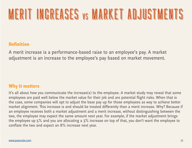### <span id="page-30-0"></span>NE NE HULLINE NGA KE ANG MENGENDANG KE ANG MENGENDANG KE ANG MENGENDANG KE ANG MENGENDANG KE ANG MENGENDANG KA

#### **Definition**

A merit increase is a performance-based raise to an employee's pay. A market adjustment is an increase to the employee's pay based on market movement.

#### Why it maters

It's all about how you communicate the increase(s) to the employee. A market study may reveal that some employees are paid well below the market value for their job and are potential fight risks. When that is the case, some companies will opt to adjust the base pay up for those employees as way to achieve beter market alignment. This increase is and should be treated differently than a merit increase. Why? Because if an employee receives both a market adjustment and a merit increase, without distinguishing between the two, the employee may expect the same amount next year. For example, if the market adjustment brings the employee up 5% and you are allocating a 3% increase on top of that, you don't want the employee to confate the two and expect an 8% increase next year.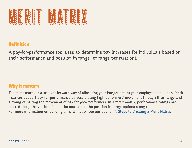<span id="page-31-0"></span>

A pay-for-performance tool used to determine pay increases for individuals based on their performance and position in range (or range penetration).

#### Why it maters

The merit matrix is a straight forward way of allocating your budget across your employee population. Merit matrices support pay-for-performance by accelerating high performers' movement through their range and slowing or halting the movement of pay for poor performers. In a merit matrix, performance ratings are ploted along the vertical side of the matrix and the position-in-range options along the horizontal side. For more information on building a merit matrix, see our post on [5 Steps to Creating a Merit Matrix](http://www.payscale.com/compensation-today/2015/07/5-steps-to-creating-a-merit-matrix).